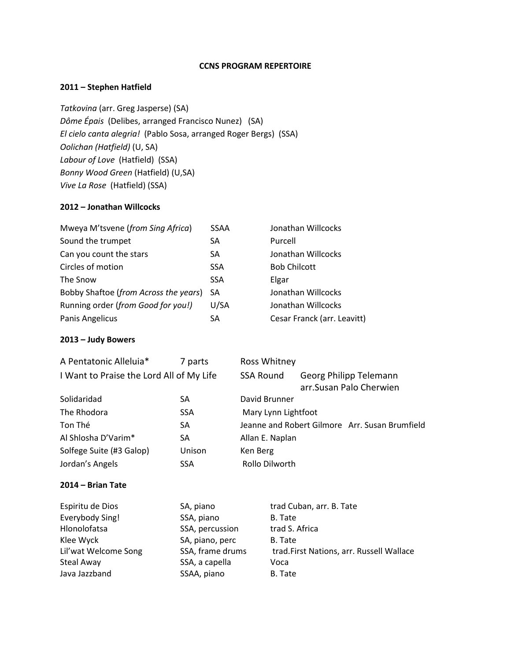#### **CCNS PROGRAM REPERTOIRE**

## **2011 – Stephen Hatfield**

*Tatkovina* (arr. Greg Jasperse) (SA) *Dôme Épais* (Delibes, arranged Francisco Nunez) (SA) *El cielo canta alegria!* (Pablo Sosa, arranged Roger Bergs) (SSA) *Oolichan (Hatfield)* (U, SA) *Labour of Love* (Hatfield) (SSA) *Bonny Wood Green* (Hatfield) (U,SA) *Vive La Rose* (Hatfield) (SSA)

# **2012 – Jonathan Willcocks**

| Mweya M'tsvene (from Sing Africa)     | <b>SSAA</b> | Jonathan Willcocks          |
|---------------------------------------|-------------|-----------------------------|
| Sound the trumpet                     | SA          | Purcell                     |
| Can you count the stars               | <b>SA</b>   | Jonathan Willcocks          |
| Circles of motion                     | <b>SSA</b>  | <b>Bob Chilcott</b>         |
| The Snow                              | <b>SSA</b>  | Elgar                       |
| Bobby Shaftoe (from Across the years) | SA          | Jonathan Willcocks          |
| Running order (from Good for you!)    | U/SA        | Jonathan Willcocks          |
| Panis Angelicus                       | SA          | Cesar Franck (arr. Leavitt) |

#### **2013 – Judy Bowers**

| A Pentatonic Alleluia*                   | 7 parts    | Ross Whitney        |                                                   |
|------------------------------------------|------------|---------------------|---------------------------------------------------|
| I Want to Praise the Lord All of My Life |            | <b>SSA Round</b>    | Georg Philipp Telemann<br>arr.Susan Palo Cherwien |
| Solidaridad                              | SA         | David Brunner       |                                                   |
| The Rhodora                              | <b>SSA</b> | Mary Lynn Lightfoot |                                                   |
| Ton Thé                                  | SA         |                     | Jeanne and Robert Gilmore Arr. Susan Brumfield    |
| Al Shlosha D'Varim*                      | SA         | Allan E. Naplan     |                                                   |
| Solfege Suite (#3 Galop)                 | Unison     | Ken Berg            |                                                   |
| Jordan's Angels                          | <b>SSA</b> | Rollo Dilworth      |                                                   |

#### **2014 – Brian Tate**

| Espiritu de Dios     | SA, piano        | trad Cuban, arr. B. Tate                 |
|----------------------|------------------|------------------------------------------|
| Everybody Sing!      | SSA, piano       | B. Tate                                  |
| Hlonolofatsa         | SSA, percussion  | trad S. Africa                           |
| Klee Wyck            | SA, piano, perc  | B. Tate                                  |
| Lil'wat Welcome Song | SSA, frame drums | trad.First Nations, arr. Russell Wallace |
| Steal Away           | SSA, a capella   | Voca                                     |
| Java Jazzband        | SSAA, piano      | B. Tate                                  |
|                      |                  |                                          |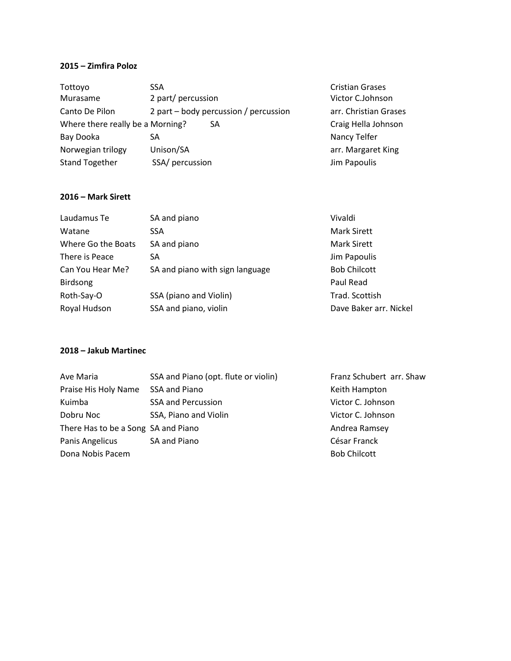# **2015 – Zimfira Poloz**

| Tottoyo                          | SSA                                     | <b>Cristian Grases</b> |
|----------------------------------|-----------------------------------------|------------------------|
| Murasame                         | 2 part/ percussion                      | Victor C.Johnson       |
| Canto De Pilon                   | 2 part $-$ body percussion / percussion | arr. Christian Grases  |
| Where there really be a Morning? | SA                                      | Craig Hella Johnson    |
| Bay Dooka                        | SA                                      | Nancy Telfer           |
| Norwegian trilogy                | Unison/SA                               | arr. Margaret King     |
| <b>Stand Together</b>            | SSA/ percussion                         | Jim Papoulis           |

#### **2016 – Mark Sirett**

| Laudamus Te        | SA and piano                    | Vivaldi                |
|--------------------|---------------------------------|------------------------|
| Watane             | <b>SSA</b>                      | <b>Mark Sirett</b>     |
| Where Go the Boats | SA and piano                    | <b>Mark Sirett</b>     |
| There is Peace     | SA                              | Jim Papoulis           |
| Can You Hear Me?   | SA and piano with sign language | <b>Bob Chilcott</b>    |
| <b>Birdsong</b>    |                                 | Paul Read              |
| Roth-Say-O         | SSA (piano and Violin)          | Trad. Scottish         |
| Royal Hudson       | SSA and piano, violin           | Dave Baker arr. Nickel |

#### **2018 – Jakub Martinec**

| Ave Maria                           | SSA and Piano (opt. flute or violin) | Franz Schubert arr. Shaw |
|-------------------------------------|--------------------------------------|--------------------------|
| Praise His Holy Name                | SSA and Piano                        | Keith Hampton            |
| Kuimba                              | <b>SSA and Percussion</b>            | Victor C. Johnson        |
| Dobru Noc                           | SSA, Piano and Violin                | Victor C. Johnson        |
| There Has to be a Song SA and Piano |                                      | Andrea Ramsey            |
| Panis Angelicus                     | SA and Piano                         | César Franck             |
| Dona Nobis Pacem                    |                                      | <b>Bob Chilcott</b>      |
|                                     |                                      |                          |